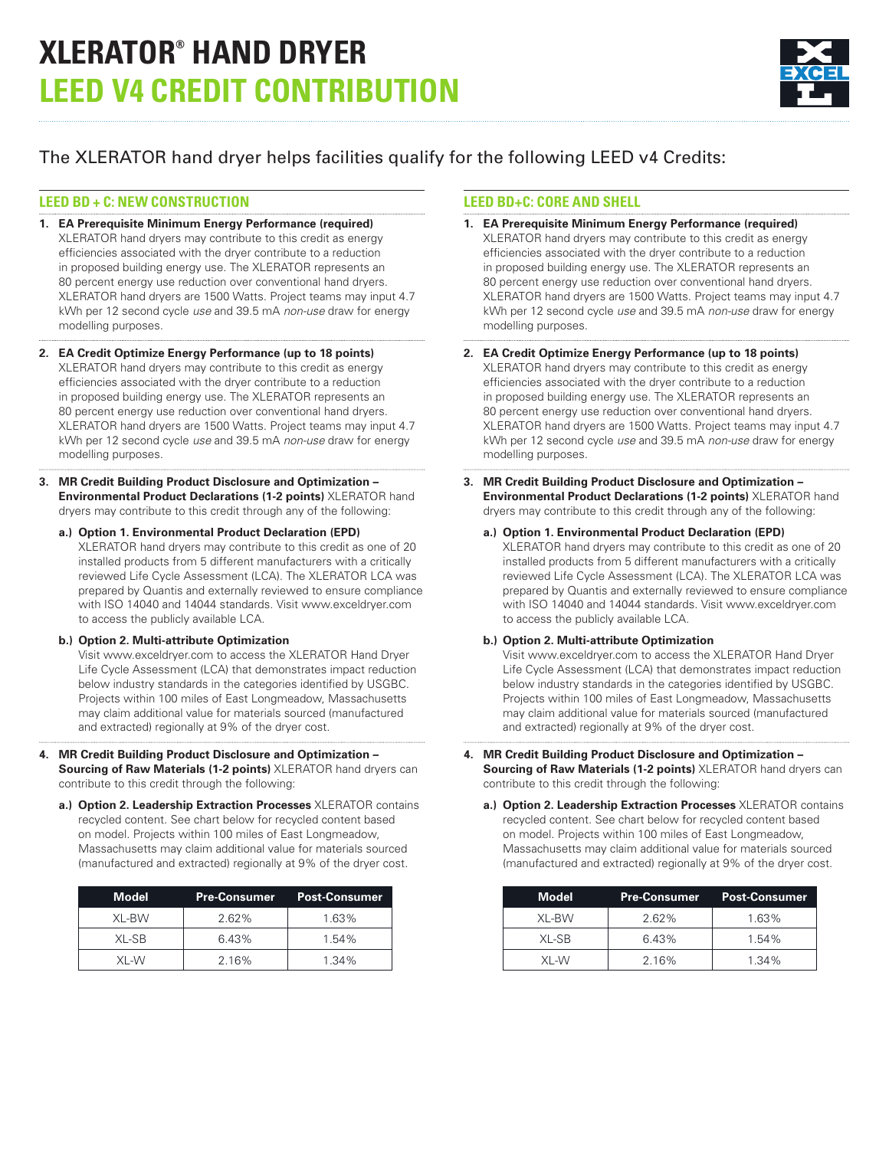

# The XLERATOR hand dryer helps facilities qualify for the following LEED v4 Credits:

# **LEED BD + C: NEW CONSTRUCTION**

- **1. EA Prerequisite Minimum Energy Performance (required)** XLERATOR hand dryers may contribute to this credit as energy efficiencies associated with the dryer contribute to a reduction in proposed building energy use. The XLERATOR represents an 80 percent energy use reduction over conventional hand dryers. XLERATOR hand dryers are 1500 Watts. Project teams may input 4.7 kWh per 12 second cycle *use* and 39.5 mA *non-use* draw for energy modelling purposes.
- **2. EA Credit Optimize Energy Performance (up to 18 points)** XLERATOR hand dryers may contribute to this credit as energy efficiencies associated with the dryer contribute to a reduction in proposed building energy use. The XLERATOR represents an 80 percent energy use reduction over conventional hand dryers. XLERATOR hand dryers are 1500 Watts. Project teams may input 4.7 kWh per 12 second cycle *use* and 39.5 mA *non-use* draw for energy modelling purposes.
- **3. MR Credit Building Product Disclosure and Optimization Environmental Product Declarations (1-2 points)** XLERATOR hand dryers may contribute to this credit through any of the following:
	- **a.) Option 1. Environmental Product Declaration (EPD)** XLERATOR hand dryers may contribute to this credit as one of 20 installed products from 5 different manufacturers with a critically reviewed Life Cycle Assessment (LCA). The XLERATOR LCA was prepared by Quantis and externally reviewed to ensure compliance with ISO 14040 and 14044 standards. Visit www.exceldryer.com to access the publicly available LCA.
	- **b.) Option 2. Multi-attribute Optimization**

Visit www.exceldryer.com to access the XLERATOR Hand Dryer Life Cycle Assessment (LCA) that demonstrates impact reduction below industry standards in the categories identified by USGBC. Projects within 100 miles of East Longmeadow, Massachusetts may claim additional value for materials sourced (manufactured and extracted) regionally at 9% of the dryer cost.

- **4. MR Credit Building Product Disclosure and Optimization Sourcing of Raw Materials (1-2 points)** XLERATOR hand dryers can contribute to this credit through the following:
	- **a.) Option 2. Leadership Extraction Processes** XLERATOR contains recycled content. See chart below for recycled content based on model. Projects within 100 miles of East Longmeadow, Massachusetts may claim additional value for materials sourced (manufactured and extracted) regionally at 9% of the dryer cost.

| Model |       | <b>Pre-Consumer</b> Post-Consumer |
|-------|-------|-----------------------------------|
| XI-BW | 2.62% | 1.63%                             |
| XL-SB | 6.43% | 1.54%                             |
| XI-W  | 2.16% | 1.34%                             |

# **LEED BD+C: CORE AND SHELL**

- **1. EA Prerequisite Minimum Energy Performance (required)** XLERATOR hand dryers may contribute to this credit as energy efficiencies associated with the dryer contribute to a reduction in proposed building energy use. The XLERATOR represents an 80 percent energy use reduction over conventional hand dryers. XLERATOR hand dryers are 1500 Watts. Project teams may input 4.7 kWh per 12 second cycle *use* and 39.5 mA *non-use* draw for energy modelling purposes.
- **2. EA Credit Optimize Energy Performance (up to 18 points)** XLERATOR hand dryers may contribute to this credit as energy efficiencies associated with the dryer contribute to a reduction in proposed building energy use. The XLERATOR represents an 80 percent energy use reduction over conventional hand dryers. XLERATOR hand dryers are 1500 Watts. Project teams may input 4.7 kWh per 12 second cycle *use* and 39.5 mA *non-use* draw for energy modelling purposes.
- **3. MR Credit Building Product Disclosure and Optimization Environmental Product Declarations (1-2 points)** XLERATOR hand dryers may contribute to this credit through any of the following:
	- **a.) Option 1. Environmental Product Declaration (EPD)** XLERATOR hand dryers may contribute to this credit as one of 20 installed products from 5 different manufacturers with a critically reviewed Life Cycle Assessment (LCA). The XLERATOR LCA was prepared by Quantis and externally reviewed to ensure compliance with ISO 14040 and 14044 standards. Visit www.exceldryer.com to access the publicly available LCA.

### **b.) Option 2. Multi-attribute Optimization**

- **4. MR Credit Building Product Disclosure and Optimization Sourcing of Raw Materials (1-2 points)** XLERATOR hand dryers can contribute to this credit through the following:
	- **a.) Option 2. Leadership Extraction Processes** XLERATOR contains recycled content. See chart below for recycled content based on model. Projects within 100 miles of East Longmeadow, Massachusetts may claim additional value for materials sourced (manufactured and extracted) regionally at 9% of the dryer cost.

| Model |       | <b>Pre-Consumer Post-Consumer</b> |
|-------|-------|-----------------------------------|
| XI-BW | 2.62% | 1.63%                             |
| XL-SB | 6.43% | 1.54%                             |
| XI-W  | 2.16% | $1.34\%$                          |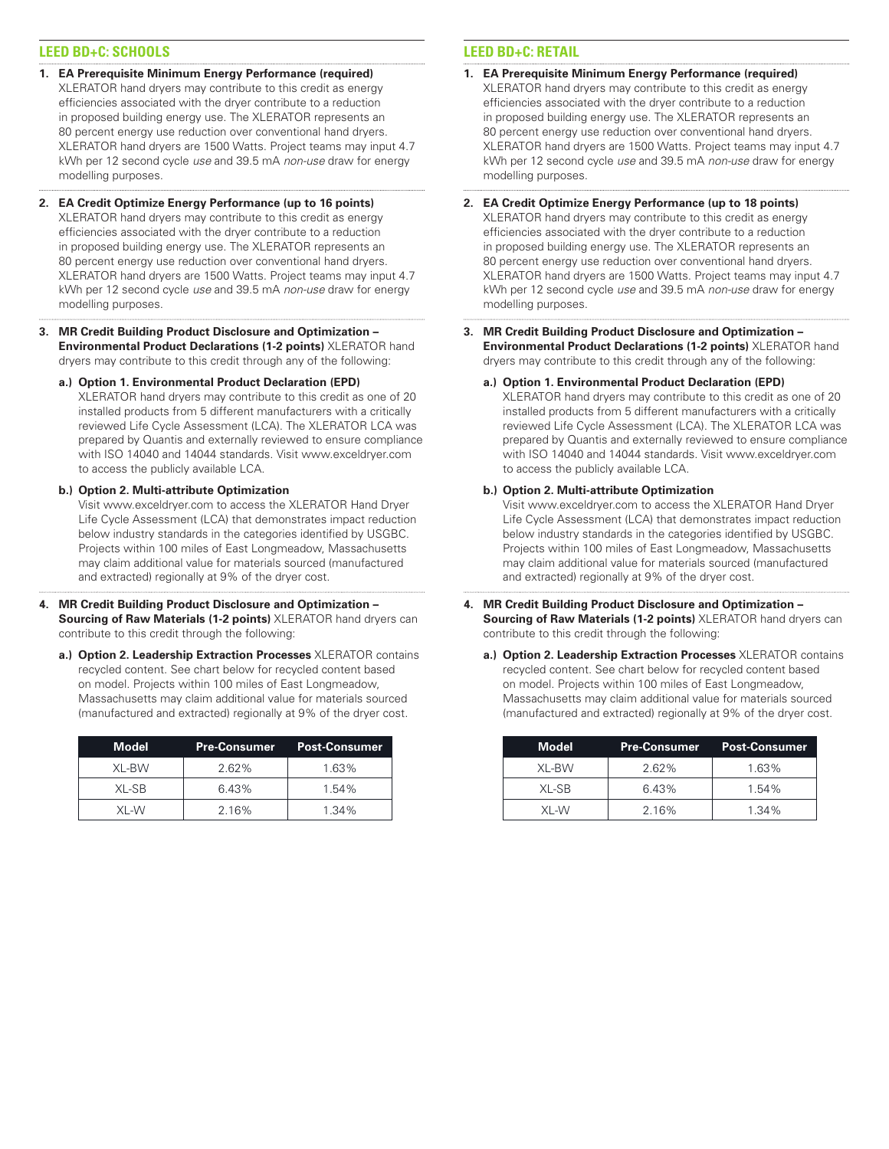# **LEED BD+C: SCHOOLS**

- **1. EA Prerequisite Minimum Energy Performance (required)** XLERATOR hand dryers may contribute to this credit as energy efficiencies associated with the dryer contribute to a reduction in proposed building energy use. The XLERATOR represents an 80 percent energy use reduction over conventional hand dryers. XLERATOR hand dryers are 1500 Watts. Project teams may input 4.7 kWh per 12 second cycle *use* and 39.5 mA *non-use* draw for energy modelling purposes.
- **2. EA Credit Optimize Energy Performance (up to 16 points)** XLERATOR hand dryers may contribute to this credit as energy efficiencies associated with the dryer contribute to a reduction in proposed building energy use. The XLERATOR represents an 80 percent energy use reduction over conventional hand dryers. XLERATOR hand dryers are 1500 Watts. Project teams may input 4.7 kWh per 12 second cycle *use* and 39.5 mA *non-use* draw for energy modelling purposes.
- **3. MR Credit Building Product Disclosure and Optimization Environmental Product Declarations (1-2 points)** XLERATOR hand dryers may contribute to this credit through any of the following:
	- **a.) Option 1. Environmental Product Declaration (EPD)** XLERATOR hand dryers may contribute to this credit as one of 20 installed products from 5 different manufacturers with a critically reviewed Life Cycle Assessment (LCA). The XLERATOR LCA was prepared by Quantis and externally reviewed to ensure compliance with ISO 14040 and 14044 standards. Visit www.exceldryer.com to access the publicly available LCA.
	- **b.) Option 2. Multi-attribute Optimization**

Visit www.exceldryer.com to access the XLERATOR Hand Dryer Life Cycle Assessment (LCA) that demonstrates impact reduction below industry standards in the categories identified by USGBC. Projects within 100 miles of East Longmeadow, Massachusetts may claim additional value for materials sourced (manufactured and extracted) regionally at 9% of the dryer cost.

- **4. MR Credit Building Product Disclosure and Optimization Sourcing of Raw Materials (1-2 points)** XLERATOR hand dryers can contribute to this credit through the following:
	- **a.) Option 2. Leadership Extraction Processes** XLERATOR contains recycled content. See chart below for recycled content based on model. Projects within 100 miles of East Longmeadow, Massachusetts may claim additional value for materials sourced (manufactured and extracted) regionally at 9% of the dryer cost.

| Model |       | Pre-Consumer Post-Consumer |
|-------|-------|----------------------------|
| XI-BW | 2.62% | 1.63%                      |
| XL-SB | 6.43% | 1.54%                      |
| XI-W  | 2.16% | $1.34\%$                   |

# **LEED BD+C: RETAIL**

- **1. EA Prerequisite Minimum Energy Performance (required)** XLERATOR hand dryers may contribute to this credit as energy efficiencies associated with the dryer contribute to a reduction in proposed building energy use. The XLERATOR represents an 80 percent energy use reduction over conventional hand dryers. XLERATOR hand dryers are 1500 Watts. Project teams may input 4.7 kWh per 12 second cycle *use* and 39.5 mA *non-use* draw for energy modelling purposes.
- **2. EA Credit Optimize Energy Performance (up to 18 points)** XLERATOR hand dryers may contribute to this credit as energy efficiencies associated with the dryer contribute to a reduction in proposed building energy use. The XLERATOR represents an 80 percent energy use reduction over conventional hand dryers. XLERATOR hand dryers are 1500 Watts. Project teams may input 4.7 kWh per 12 second cycle *use* and 39.5 mA *non-use* draw for energy modelling purposes.
- **3. MR Credit Building Product Disclosure and Optimization Environmental Product Declarations (1-2 points)** XLERATOR hand dryers may contribute to this credit through any of the following:
	- **a.) Option 1. Environmental Product Declaration (EPD)** XLERATOR hand dryers may contribute to this credit as one of 20 installed products from 5 different manufacturers with a critically reviewed Life Cycle Assessment (LCA). The XLERATOR LCA was prepared by Quantis and externally reviewed to ensure compliance with ISO 14040 and 14044 standards. Visit www.exceldryer.com to access the publicly available LCA.
	- **b.) Option 2. Multi-attribute Optimization**

- **4. MR Credit Building Product Disclosure and Optimization Sourcing of Raw Materials (1-2 points)** XLERATOR hand dryers can contribute to this credit through the following:
	- **a.) Option 2. Leadership Extraction Processes** XLERATOR contains recycled content. See chart below for recycled content based on model. Projects within 100 miles of East Longmeadow, Massachusetts may claim additional value for materials sourced (manufactured and extracted) regionally at 9% of the dryer cost.

| Model |       | <b>Pre-Consumer Post-Consumer</b> |
|-------|-------|-----------------------------------|
| XI-BW | 2.62% | 1.63%                             |
| XL-SB | 6.43% | $1.54\%$                          |
| XI-W  | 2.16% | $1.34\%$                          |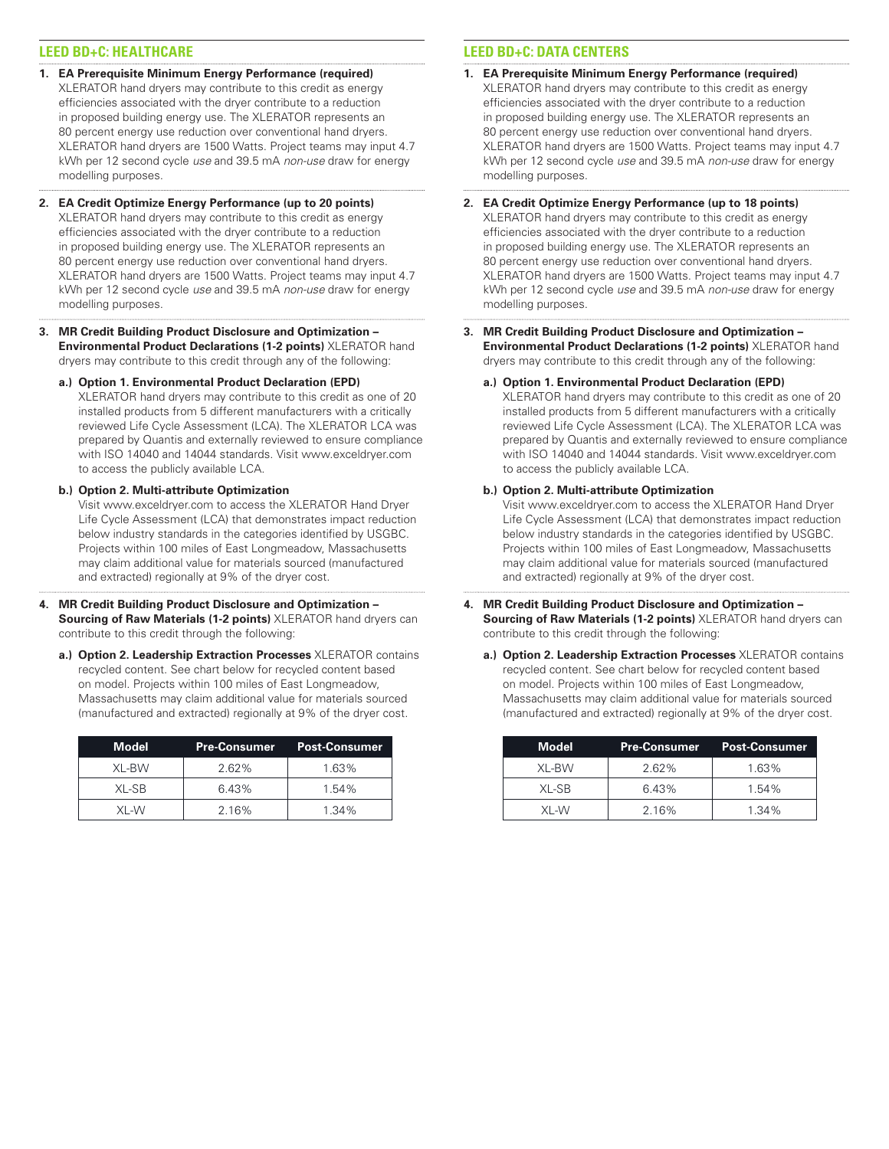### **LEED BD+C: HEALTHCARE**

- **1. EA Prerequisite Minimum Energy Performance (required)** XLERATOR hand dryers may contribute to this credit as energy efficiencies associated with the dryer contribute to a reduction in proposed building energy use. The XLERATOR represents an 80 percent energy use reduction over conventional hand dryers. XLERATOR hand dryers are 1500 Watts. Project teams may input 4.7 kWh per 12 second cycle *use* and 39.5 mA *non-use* draw for energy modelling purposes.
- **2. EA Credit Optimize Energy Performance (up to 20 points)** XLERATOR hand dryers may contribute to this credit as energy efficiencies associated with the dryer contribute to a reduction in proposed building energy use. The XLERATOR represents an 80 percent energy use reduction over conventional hand dryers. XLERATOR hand dryers are 1500 Watts. Project teams may input 4.7 kWh per 12 second cycle *use* and 39.5 mA *non-use* draw for energy modelling purposes.
- **3. MR Credit Building Product Disclosure and Optimization Environmental Product Declarations (1-2 points)** XLERATOR hand dryers may contribute to this credit through any of the following:
	- **a.) Option 1. Environmental Product Declaration (EPD)** XLERATOR hand dryers may contribute to this credit as one of 20 installed products from 5 different manufacturers with a critically reviewed Life Cycle Assessment (LCA). The XLERATOR LCA was prepared by Quantis and externally reviewed to ensure compliance with ISO 14040 and 14044 standards. Visit www.exceldryer.com to access the publicly available LCA.
	- **b.) Option 2. Multi-attribute Optimization**

Visit www.exceldryer.com to access the XLERATOR Hand Dryer Life Cycle Assessment (LCA) that demonstrates impact reduction below industry standards in the categories identified by USGBC. Projects within 100 miles of East Longmeadow, Massachusetts may claim additional value for materials sourced (manufactured and extracted) regionally at 9% of the dryer cost.

- **4. MR Credit Building Product Disclosure and Optimization Sourcing of Raw Materials (1-2 points)** XLERATOR hand dryers can contribute to this credit through the following:
	- **a.) Option 2. Leadership Extraction Processes** XLERATOR contains recycled content. See chart below for recycled content based on model. Projects within 100 miles of East Longmeadow, Massachusetts may claim additional value for materials sourced (manufactured and extracted) regionally at 9% of the dryer cost.

| Model |       | Pre-Consumer Post-Consumer |
|-------|-------|----------------------------|
| XI-BW | 2.62% | 1.63%                      |
| XL-SB | 6.43% | 1.54%                      |
| XI-W  | 2.16% | $1.34\%$                   |

# **LEED BD+C: DATA CENTERS**

- **1. EA Prerequisite Minimum Energy Performance (required)** XLERATOR hand dryers may contribute to this credit as energy efficiencies associated with the dryer contribute to a reduction in proposed building energy use. The XLERATOR represents an 80 percent energy use reduction over conventional hand dryers. XLERATOR hand dryers are 1500 Watts. Project teams may input 4.7 kWh per 12 second cycle *use* and 39.5 mA *non-use* draw for energy modelling purposes.
- **2. EA Credit Optimize Energy Performance (up to 18 points)** XLERATOR hand dryers may contribute to this credit as energy efficiencies associated with the dryer contribute to a reduction in proposed building energy use. The XLERATOR represents an 80 percent energy use reduction over conventional hand dryers. XLERATOR hand dryers are 1500 Watts. Project teams may input 4.7 kWh per 12 second cycle *use* and 39.5 mA *non-use* draw for energy modelling purposes.
- **3. MR Credit Building Product Disclosure and Optimization Environmental Product Declarations (1-2 points)** XLERATOR hand dryers may contribute to this credit through any of the following:
	- **a.) Option 1. Environmental Product Declaration (EPD)** XLERATOR hand dryers may contribute to this credit as one of 20 installed products from 5 different manufacturers with a critically reviewed Life Cycle Assessment (LCA). The XLERATOR LCA was prepared by Quantis and externally reviewed to ensure compliance with ISO 14040 and 14044 standards. Visit www.exceldryer.com to access the publicly available LCA.
	- **b.) Option 2. Multi-attribute Optimization**

- **4. MR Credit Building Product Disclosure and Optimization Sourcing of Raw Materials (1-2 points)** XLERATOR hand dryers can contribute to this credit through the following:
	- **a.) Option 2. Leadership Extraction Processes** XLERATOR contains recycled content. See chart below for recycled content based on model. Projects within 100 miles of East Longmeadow, Massachusetts may claim additional value for materials sourced (manufactured and extracted) regionally at 9% of the dryer cost.

| Model |       | <b>Pre-Consumer Post-Consumer</b> |
|-------|-------|-----------------------------------|
| XI-BW | 2.62% | 1.63%                             |
| XL-SB | 6.43% | $1.54\%$                          |
| XI-W  | 2.16% | $1.34\%$                          |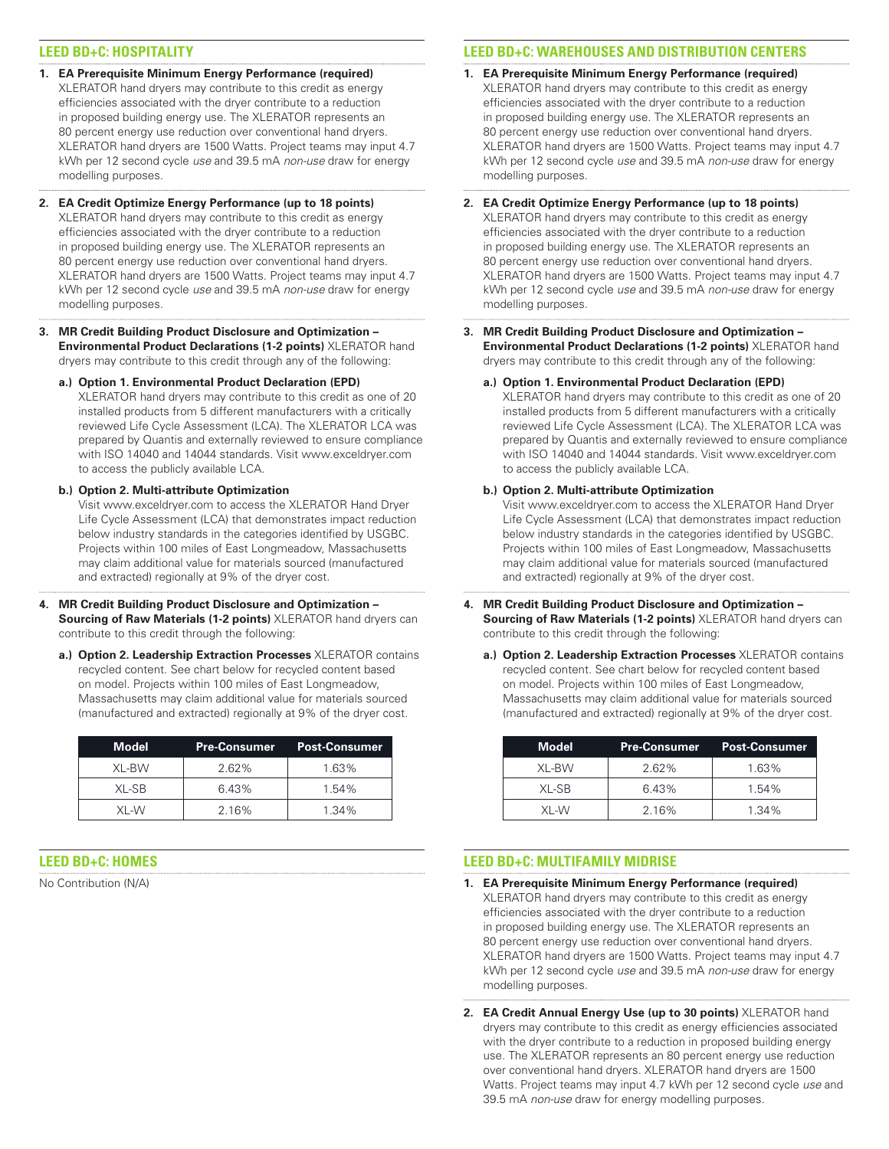### **LEED BD+C: HOSPITALITY**

- **1. EA Prerequisite Minimum Energy Performance (required)** XLERATOR hand dryers may contribute to this credit as energy efficiencies associated with the dryer contribute to a reduction in proposed building energy use. The XLERATOR represents an 80 percent energy use reduction over conventional hand dryers. XLERATOR hand dryers are 1500 Watts. Project teams may input 4.7 kWh per 12 second cycle *use* and 39.5 mA *non-use* draw for energy modelling purposes.
- **2. EA Credit Optimize Energy Performance (up to 18 points)** XLERATOR hand dryers may contribute to this credit as energy efficiencies associated with the dryer contribute to a reduction in proposed building energy use. The XLERATOR represents an 80 percent energy use reduction over conventional hand dryers. XLERATOR hand dryers are 1500 Watts. Project teams may input 4.7 kWh per 12 second cycle *use* and 39.5 mA *non-use* draw for energy modelling purposes.
- **3. MR Credit Building Product Disclosure and Optimization Environmental Product Declarations (1-2 points)** XLERATOR hand dryers may contribute to this credit through any of the following:
	- **a.) Option 1. Environmental Product Declaration (EPD)** XLERATOR hand dryers may contribute to this credit as one of 20 installed products from 5 different manufacturers with a critically reviewed Life Cycle Assessment (LCA). The XLERATOR LCA was prepared by Quantis and externally reviewed to ensure compliance with ISO 14040 and 14044 standards. Visit www.exceldryer.com to access the publicly available LCA.
	- **b.) Option 2. Multi-attribute Optimization**

Visit www.exceldryer.com to access the XLERATOR Hand Dryer Life Cycle Assessment (LCA) that demonstrates impact reduction below industry standards in the categories identified by USGBC. Projects within 100 miles of East Longmeadow, Massachusetts may claim additional value for materials sourced (manufactured and extracted) regionally at 9% of the dryer cost.

- **4. MR Credit Building Product Disclosure and Optimization Sourcing of Raw Materials (1-2 points)** XLERATOR hand dryers can contribute to this credit through the following:
	- **a.) Option 2. Leadership Extraction Processes** XLERATOR contains recycled content. See chart below for recycled content based on model. Projects within 100 miles of East Longmeadow, Massachusetts may claim additional value for materials sourced (manufactured and extracted) regionally at 9% of the dryer cost.

| Model |       | <b>Pre-Consumer Post-Consumer</b> |
|-------|-------|-----------------------------------|
| XL-BW | 2.62% | 1.63%                             |
| XL-SB | 6.43% | $1.54\%$                          |
| XI-W  | 2.16% | $1.34\%$                          |

# **LEED BD+C: HOMES**

No Contribution (N/A)

### **LEED BD+C: WAREHOUSES AND DISTRIBUTION CENTERS**

- **1. EA Prerequisite Minimum Energy Performance (required)** XLERATOR hand dryers may contribute to this credit as energy efficiencies associated with the dryer contribute to a reduction in proposed building energy use. The XLERATOR represents an 80 percent energy use reduction over conventional hand dryers. XLERATOR hand dryers are 1500 Watts. Project teams may input 4.7 kWh per 12 second cycle *use* and 39.5 mA *non-use* draw for energy modelling purposes.
- **2. EA Credit Optimize Energy Performance (up to 18 points)** XLERATOR hand dryers may contribute to this credit as energy efficiencies associated with the dryer contribute to a reduction in proposed building energy use. The XLERATOR represents an 80 percent energy use reduction over conventional hand dryers. XLERATOR hand dryers are 1500 Watts. Project teams may input 4.7 kWh per 12 second cycle *use* and 39.5 mA *non-use* draw for energy modelling purposes.
- **3. MR Credit Building Product Disclosure and Optimization Environmental Product Declarations (1-2 points)** XLERATOR hand dryers may contribute to this credit through any of the following:
	- **a.) Option 1. Environmental Product Declaration (EPD)** XLERATOR hand dryers may contribute to this credit as one of 20 installed products from 5 different manufacturers with a critically reviewed Life Cycle Assessment (LCA). The XLERATOR LCA was prepared by Quantis and externally reviewed to ensure compliance with ISO 14040 and 14044 standards. Visit www.exceldryer.com to access the publicly available LCA.
	- **b.) Option 2. Multi-attribute Optimization**

Visit www.exceldryer.com to access the XLERATOR Hand Dryer Life Cycle Assessment (LCA) that demonstrates impact reduction below industry standards in the categories identified by USGBC. Projects within 100 miles of East Longmeadow, Massachusetts may claim additional value for materials sourced (manufactured and extracted) regionally at 9% of the dryer cost.

- **4. MR Credit Building Product Disclosure and Optimization Sourcing of Raw Materials (1-2 points)** XLERATOR hand dryers can contribute to this credit through the following:
	- **a.) Option 2. Leadership Extraction Processes** XLERATOR contains recycled content. See chart below for recycled content based on model. Projects within 100 miles of East Longmeadow, Massachusetts may claim additional value for materials sourced (manufactured and extracted) regionally at 9% of the dryer cost.

| Model     |       | <b>Pre-Consumer Post-Consumer</b> |
|-----------|-------|-----------------------------------|
| XL-BW     | 2.62% | 1.63%                             |
| $XI - SR$ | 6.43% | 1.54%                             |
| $XI - W$  | 2.16% | $1.34\%$                          |

### **LEED BD+C: MULTIFAMILY MIDRISE**

- **1. EA Prerequisite Minimum Energy Performance (required)** XLERATOR hand dryers may contribute to this credit as energy efficiencies associated with the dryer contribute to a reduction in proposed building energy use. The XLERATOR represents an 80 percent energy use reduction over conventional hand dryers. XLERATOR hand dryers are 1500 Watts. Project teams may input 4.7 kWh per 12 second cycle *use* and 39.5 mA *non-use* draw for energy modelling purposes.
- **2. EA Credit Annual Energy Use (up to 30 points)** XLERATOR hand dryers may contribute to this credit as energy efficiencies associated with the dryer contribute to a reduction in proposed building energy use. The XLERATOR represents an 80 percent energy use reduction over conventional hand dryers. XLERATOR hand dryers are 1500 Watts. Project teams may input 4.7 kWh per 12 second cycle *use* and 39.5 mA *non-use* draw for energy modelling purposes.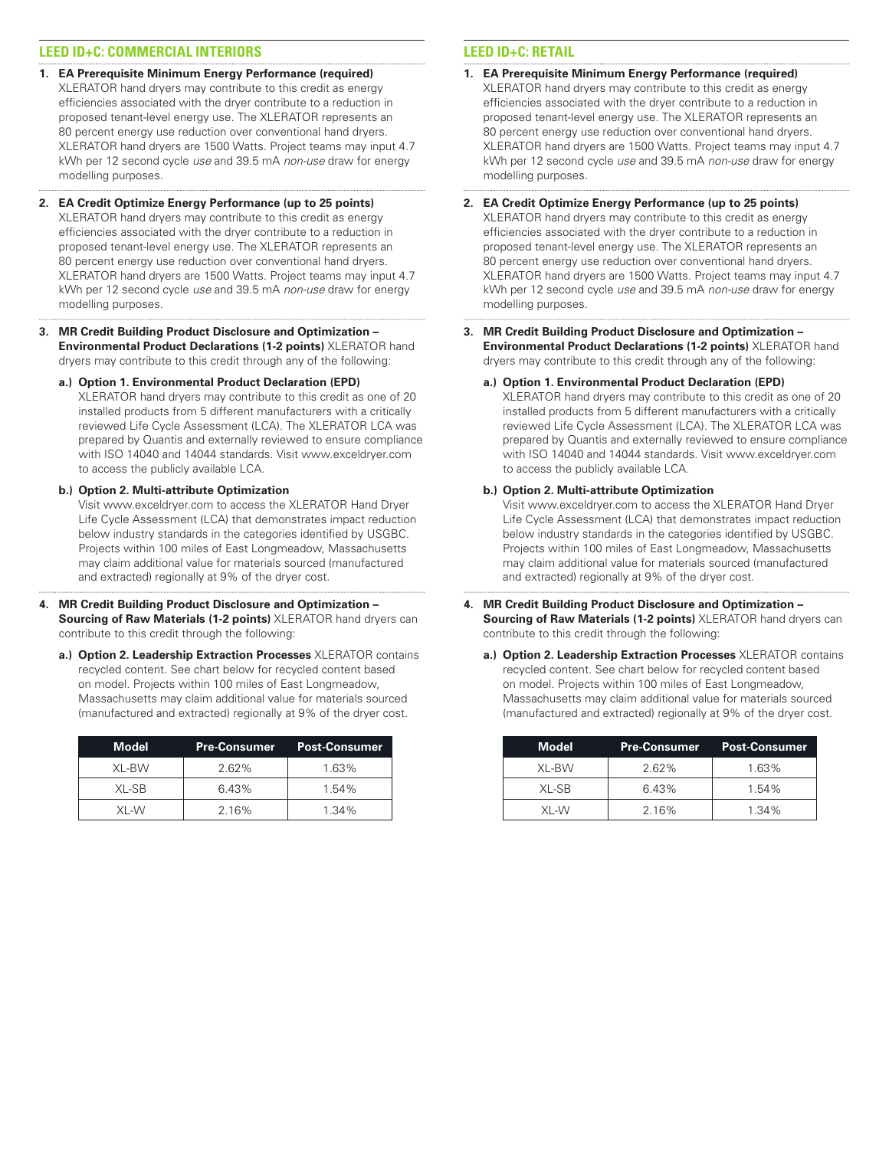### **LEED ID+C: COMMERCIAL INTERIORS**

- **1. EA Prerequisite Minimum Energy Performance (required)** XLERATOR hand dryers may contribute to this credit as energy efficiencies associated with the dryer contribute to a reduction in proposed tenant-level energy use. The XLERATOR represents an 80 percent energy use reduction over conventional hand dryers. XLERATOR hand dryers are 1500 Watts. Project teams may input 4.7 kWh per 12 second cycle *use* and 39.5 mA *non-use* draw for energy modelling purposes.
- **2. EA Credit Optimize Energy Performance (up to 25 points)** XLERATOR hand dryers may contribute to this credit as energy efficiencies associated with the dryer contribute to a reduction in proposed tenant-level energy use. The XLERATOR represents an 80 percent energy use reduction over conventional hand dryers. XLERATOR hand dryers are 1500 Watts. Project teams may input 4.7 kWh per 12 second cycle *use* and 39.5 mA *non-use* draw for energy modelling purposes.
- **3. MR Credit Building Product Disclosure and Optimization Environmental Product Declarations (1-2 points)** XLERATOR hand dryers may contribute to this credit through any of the following:
	- **a.) Option 1. Environmental Product Declaration (EPD)** XLERATOR hand dryers may contribute to this credit as one of 20 installed products from 5 different manufacturers with a critically reviewed Life Cycle Assessment (LCA). The XLERATOR LCA was prepared by Quantis and externally reviewed to ensure compliance with ISO 14040 and 14044 standards. Visit www.exceldryer.com to access the publicly available LCA.
	- **b.) Option 2. Multi-attribute Optimization**

Visit www.exceldryer.com to access the XLERATOR Hand Dryer Life Cycle Assessment (LCA) that demonstrates impact reduction below industry standards in the categories identified by USGBC. Projects within 100 miles of East Longmeadow, Massachusetts may claim additional value for materials sourced (manufactured and extracted) regionally at 9% of the dryer cost.

- **4. MR Credit Building Product Disclosure and Optimization Sourcing of Raw Materials (1-2 points)** XLERATOR hand dryers can contribute to this credit through the following:
	- **a.) Option 2. Leadership Extraction Processes** XLERATOR contains recycled content. See chart below for recycled content based on model. Projects within 100 miles of East Longmeadow, Massachusetts may claim additional value for materials sourced (manufactured and extracted) regionally at 9% of the dryer cost.

| Model |       | Pre-Consumer Post-Consumer |
|-------|-------|----------------------------|
| XI-BW | 2.62% | 1.63%                      |
| XL-SB | 6.43% | 1.54%                      |
| XI-W  | 2.16% | $1.34\%$                   |

# **LEED ID+C: RETAIL**

- **1. EA Prerequisite Minimum Energy Performance (required)** XLERATOR hand dryers may contribute to this credit as energy efficiencies associated with the dryer contribute to a reduction in proposed tenant-level energy use. The XLERATOR represents an 80 percent energy use reduction over conventional hand dryers. XLERATOR hand dryers are 1500 Watts. Project teams may input 4.7 kWh per 12 second cycle *use* and 39.5 mA *non-use* draw for energy modelling purposes.
- **2. EA Credit Optimize Energy Performance (up to 25 points)** XLERATOR hand dryers may contribute to this credit as energy efficiencies associated with the dryer contribute to a reduction in proposed tenant-level energy use. The XLERATOR represents an 80 percent energy use reduction over conventional hand dryers. XLERATOR hand dryers are 1500 Watts. Project teams may input 4.7 kWh per 12 second cycle *use* and 39.5 mA *non-use* draw for energy modelling purposes.
- **3. MR Credit Building Product Disclosure and Optimization Environmental Product Declarations (1-2 points)** XLERATOR hand dryers may contribute to this credit through any of the following:
	- **a.) Option 1. Environmental Product Declaration (EPD)** XLERATOR hand dryers may contribute to this credit as one of 20 installed products from 5 different manufacturers with a critically reviewed Life Cycle Assessment (LCA). The XLERATOR LCA was prepared by Quantis and externally reviewed to ensure compliance with ISO 14040 and 14044 standards. Visit www.exceldryer.com to access the publicly available LCA.
	- **b.) Option 2. Multi-attribute Optimization**

- **4. MR Credit Building Product Disclosure and Optimization Sourcing of Raw Materials (1-2 points)** XLERATOR hand dryers can contribute to this credit through the following:
	- **a.) Option 2. Leadership Extraction Processes** XLERATOR contains recycled content. See chart below for recycled content based on model. Projects within 100 miles of East Longmeadow, Massachusetts may claim additional value for materials sourced (manufactured and extracted) regionally at 9% of the dryer cost.

| Model |       | <b>Pre-Consumer Post-Consumer</b> |
|-------|-------|-----------------------------------|
| XI-BW | 2.62% | 1.63%                             |
| XL-SB | 6.43% | 1.54%                             |
| XI-W  | 2.16% | $1.34\%$                          |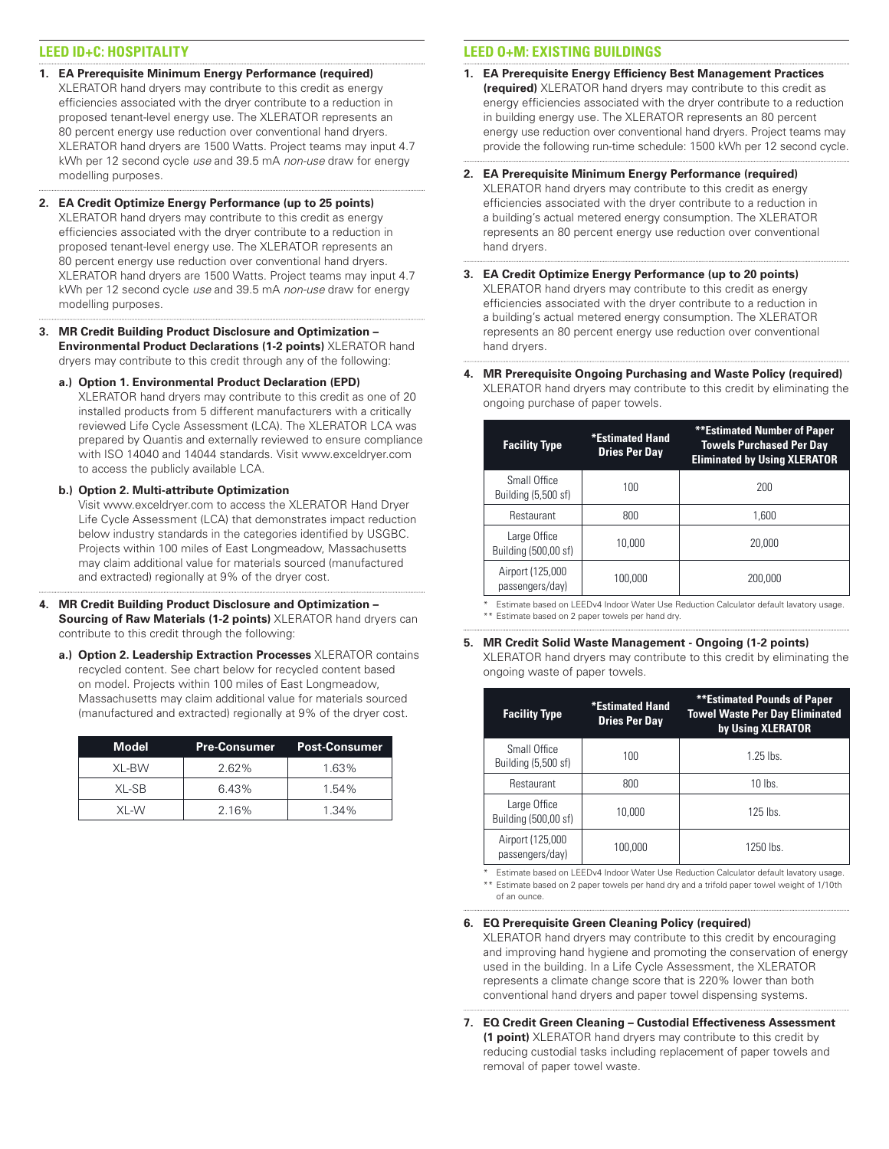# **LEED ID+C: HOSPITALITY**

- **1. EA Prerequisite Minimum Energy Performance (required)** XLERATOR hand dryers may contribute to this credit as energy efficiencies associated with the dryer contribute to a reduction in proposed tenant-level energy use. The XLERATOR represents an 80 percent energy use reduction over conventional hand dryers. XLERATOR hand dryers are 1500 Watts. Project teams may input 4.7 kWh per 12 second cycle *use* and 39.5 mA *non-use* draw for energy modelling purposes.
- **2. EA Credit Optimize Energy Performance (up to 25 points)** XLERATOR hand dryers may contribute to this credit as energy efficiencies associated with the dryer contribute to a reduction in proposed tenant-level energy use. The XLERATOR represents an 80 percent energy use reduction over conventional hand dryers. XLERATOR hand dryers are 1500 Watts. Project teams may input 4.7 kWh per 12 second cycle *use* and 39.5 mA *non-use* draw for energy modelling purposes.
- **3. MR Credit Building Product Disclosure and Optimization Environmental Product Declarations (1-2 points)** XLERATOR hand dryers may contribute to this credit through any of the following:
	- **a.) Option 1. Environmental Product Declaration (EPD)** XLERATOR hand dryers may contribute to this credit as one of 20 installed products from 5 different manufacturers with a critically reviewed Life Cycle Assessment (LCA). The XLERATOR LCA was prepared by Quantis and externally reviewed to ensure compliance with ISO 14040 and 14044 standards. Visit www.exceldryer.com to access the publicly available LCA.
	- **b.) Option 2. Multi-attribute Optimization**

Visit www.exceldryer.com to access the XLERATOR Hand Dryer Life Cycle Assessment (LCA) that demonstrates impact reduction below industry standards in the categories identified by USGBC. Projects within 100 miles of East Longmeadow, Massachusetts may claim additional value for materials sourced (manufactured and extracted) regionally at 9% of the dryer cost.

- **4. MR Credit Building Product Disclosure and Optimization Sourcing of Raw Materials (1-2 points)** XLERATOR hand dryers can contribute to this credit through the following:
	- **a.) Option 2. Leadership Extraction Processes** XLERATOR contains recycled content. See chart below for recycled content based on model. Projects within 100 miles of East Longmeadow, Massachusetts may claim additional value for materials sourced (manufactured and extracted) regionally at 9% of the dryer cost.

| Model    |       | <b>Pre-Consumer Post-Consumer</b> |
|----------|-------|-----------------------------------|
| XI-BW    | 2.62% | 1.63%                             |
| XI-SB    | 6.43% | 1.54%                             |
| $XI - W$ | 2.16% | $1.34\%$                          |

### **LEED O+M: EXISTING BUILDINGS**

- **1. EA Prerequisite Energy Efficiency Best Management Practices (required)** XLERATOR hand dryers may contribute to this credit as energy efficiencies associated with the dryer contribute to a reduction in building energy use. The XLERATOR represents an 80 percent energy use reduction over conventional hand dryers. Project teams may provide the following run-time schedule: 1500 kWh per 12 second cycle.
- **2. EA Prerequisite Minimum Energy Performance (required)** XLERATOR hand dryers may contribute to this credit as energy efficiencies associated with the dryer contribute to a reduction in a building's actual metered energy consumption. The XLERATOR represents an 80 percent energy use reduction over conventional hand dryers.
- **3. EA Credit Optimize Energy Performance (up to 20 points)** XLERATOR hand dryers may contribute to this credit as energy efficiencies associated with the dryer contribute to a reduction in a building's actual metered energy consumption. The XLERATOR represents an 80 percent energy use reduction over conventional hand dryers.
- **4. MR Prerequisite Ongoing Purchasing and Waste Policy (required)** XLERATOR hand dryers may contribute to this credit by eliminating the ongoing purchase of paper towels.

| <b>Facility Type</b>                 | *Estimated Hand<br><b>Dries Per Day</b> | **Estimated Number of Paper<br><b>Towels Purchased Per Day</b><br><b>Eliminated by Using XLERATOR</b> |
|--------------------------------------|-----------------------------------------|-------------------------------------------------------------------------------------------------------|
| Small Office<br>Building (5,500 sf)  | 100                                     | 200                                                                                                   |
| Restaurant                           | 800                                     | 1.600                                                                                                 |
| Large Office<br>Building (500,00 sf) | 10,000                                  | 20,000                                                                                                |
| Airport (125,000<br>passengers/day)  | 100,000                                 | 200,000                                                                                               |

\* Estimate based on LEEDv4 Indoor Water Use Reduction Calculator default lavatory usage.

\*\* Estimate based on 2 paper towels per hand dry.

#### **5. MR Credit Solid Waste Management - Ongoing (1-2 points)**

XLERATOR hand dryers may contribute to this credit by eliminating the ongoing waste of paper towels.

| <b>Facility Type</b>                 | *Estimated Hand<br><b>Dries Per Day</b> | <b>**Estimated Pounds of Paper</b><br><b>Towel Waste Per Day Eliminated</b><br>by Using XLERATOR |
|--------------------------------------|-----------------------------------------|--------------------------------------------------------------------------------------------------|
| Small Office<br>Building (5,500 sf)  | 100                                     | $1.25$ lbs.                                                                                      |
| Restaurant                           | 800                                     | $10$ lbs.                                                                                        |
| Large Office<br>Building (500,00 sf) | 10.000                                  | $125$ lhs                                                                                        |
| Airport (125,000<br>passengers/day)  | 100.000                                 | 1250 lbs.                                                                                        |

Estimate based on LEEDv4 Indoor Water Use Reduction Calculator default lavatory usage \*\* Estimate based on 2 paper towels per hand dry and a trifold paper towel weight of 1/10th of an ounce.

#### **6. EQ Prerequisite Green Cleaning Policy (required)**

XLERATOR hand dryers may contribute to this credit by encouraging and improving hand hygiene and promoting the conservation of energy used in the building. In a Life Cycle Assessment, the XLERATOR represents a climate change score that is 220% lower than both conventional hand dryers and paper towel dispensing systems.

**7. EQ Credit Green Cleaning – Custodial Effectiveness Assessment (1 point)** XLERATOR hand dryers may contribute to this credit by reducing custodial tasks including replacement of paper towels and removal of paper towel waste.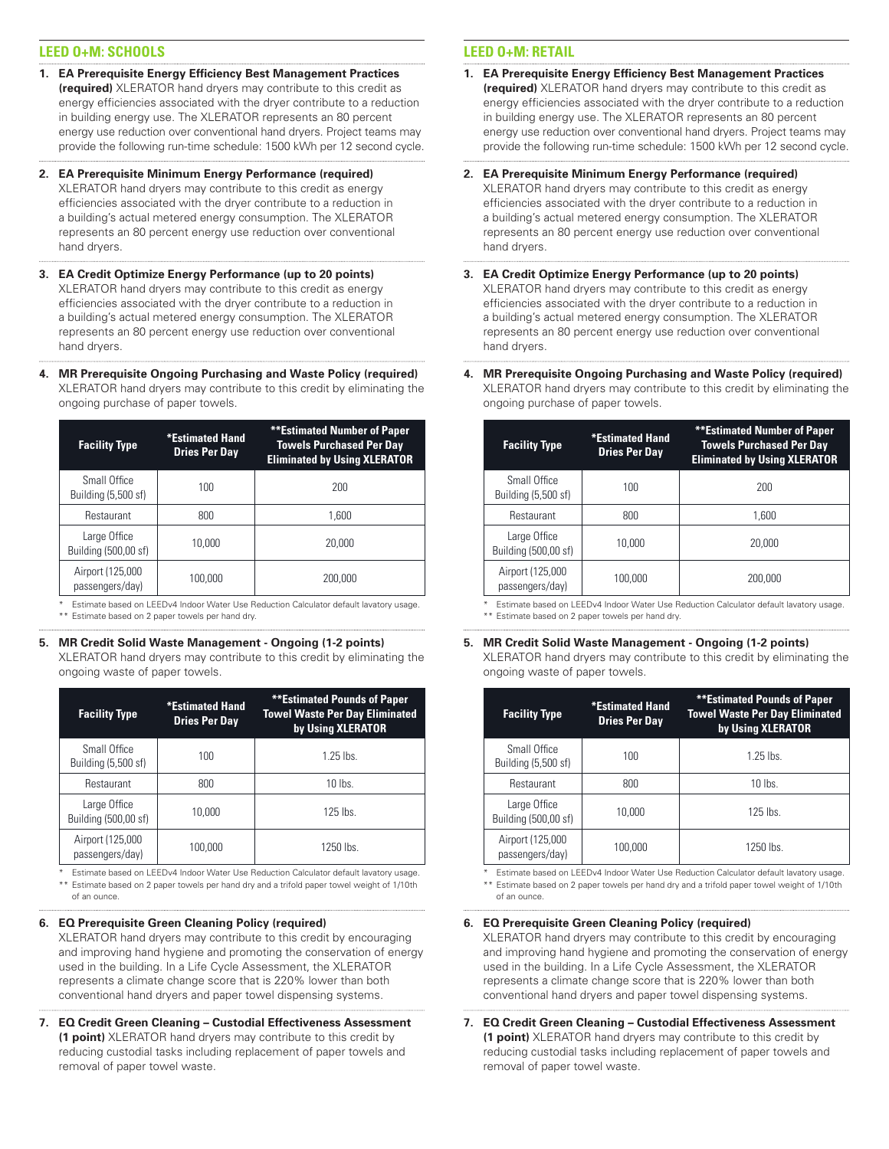# **LEED O+M: SCHOOLS**

- **1. EA Prerequisite Energy Efficiency Best Management Practices (required)** XLERATOR hand dryers may contribute to this credit as energy efficiencies associated with the dryer contribute to a reduction in building energy use. The XLERATOR represents an 80 percent energy use reduction over conventional hand dryers. Project teams may provide the following run-time schedule: 1500 kWh per 12 second cycle.
- **2. EA Prerequisite Minimum Energy Performance (required)** XLERATOR hand dryers may contribute to this credit as energy efficiencies associated with the dryer contribute to a reduction in a building's actual metered energy consumption. The XLERATOR represents an 80 percent energy use reduction over conventional hand dryers.
- **3. EA Credit Optimize Energy Performance (up to 20 points)** XLERATOR hand dryers may contribute to this credit as energy efficiencies associated with the dryer contribute to a reduction in a building's actual metered energy consumption. The XLERATOR represents an 80 percent energy use reduction over conventional hand dryers.
- **4. MR Prerequisite Ongoing Purchasing and Waste Policy (required)** XLERATOR hand dryers may contribute to this credit by eliminating the ongoing purchase of paper towels.

| <b>Facility Type</b>                 | *Estimated Hand<br><b>Dries Per Day</b> | **Estimated Number of Paper<br><b>Towels Purchased Per Day</b><br><b>Eliminated by Using XLERATOR</b> |
|--------------------------------------|-----------------------------------------|-------------------------------------------------------------------------------------------------------|
| Small Office<br>Building (5,500 sf)  | 100                                     | 200                                                                                                   |
| Restaurant                           | 800                                     | 1.600                                                                                                 |
| Large Office<br>Building (500,00 sf) | 10,000                                  | 20,000                                                                                                |
| Airport (125,000<br>passengers/day)  | 100.000                                 | 200,000                                                                                               |

\* Estimate based on LEEDv4 Indoor Water Use Reduction Calculator default lavatory usage. \*\* Estimate based on 2 paper towels per hand dry.

**5. MR Credit Solid Waste Management - Ongoing (1-2 points)**

XLERATOR hand dryers may contribute to this credit by eliminating the ongoing waste of paper towels.

| <b>Facility Type</b>                 | *Estimated Hand<br><b>Dries Per Day</b> | <b>**Estimated Pounds of Paper</b><br><b>Towel Waste Per Day Eliminated</b><br>by Using XLERATOR |
|--------------------------------------|-----------------------------------------|--------------------------------------------------------------------------------------------------|
| Small Office<br>Building (5,500 sf)  | 100                                     | $1.25$ lbs.                                                                                      |
| Restaurant                           | 800                                     | $10$ lbs.                                                                                        |
| Large Office<br>Building (500,00 sf) | 10,000                                  | $125$ lbs.                                                                                       |
| Airport (125,000<br>passengers/day)  | 100.000                                 | 1250 lbs.                                                                                        |

Estimate based on LEEDv4 Indoor Water Use Reduction Calculator default lavatory usage Estimate based on 2 paper towels per hand dry and a trifold paper towel weight of 1/10th of an ounce.

#### **6. EQ Prerequisite Green Cleaning Policy (required)**

XLERATOR hand dryers may contribute to this credit by encouraging and improving hand hygiene and promoting the conservation of energy used in the building. In a Life Cycle Assessment, the XLERATOR represents a climate change score that is 220% lower than both conventional hand dryers and paper towel dispensing systems.

**7. EQ Credit Green Cleaning – Custodial Effectiveness Assessment (1 point)** XLERATOR hand dryers may contribute to this credit by reducing custodial tasks including replacement of paper towels and removal of paper towel waste.

### **LEED O+M: RETAIL**

- **1. EA Prerequisite Energy Efficiency Best Management Practices (required)** XLERATOR hand dryers may contribute to this credit as energy efficiencies associated with the dryer contribute to a reduction in building energy use. The XLERATOR represents an 80 percent energy use reduction over conventional hand dryers. Project teams may provide the following run-time schedule: 1500 kWh per 12 second cycle.
- **2. EA Prerequisite Minimum Energy Performance (required)** XLERATOR hand dryers may contribute to this credit as energy efficiencies associated with the dryer contribute to a reduction in a building's actual metered energy consumption. The XLERATOR represents an 80 percent energy use reduction over conventional hand dryers.
- **3. EA Credit Optimize Energy Performance (up to 20 points)** XLERATOR hand dryers may contribute to this credit as energy efficiencies associated with the dryer contribute to a reduction in a building's actual metered energy consumption. The XLERATOR represents an 80 percent energy use reduction over conventional hand dryers.
- **4. MR Prerequisite Ongoing Purchasing and Waste Policy (required)** XLERATOR hand dryers may contribute to this credit by eliminating the ongoing purchase of paper towels.

| <b>Facility Type</b>                 | *Estimated Hand<br><b>Dries Per Day</b> | **Estimated Number of Paper<br><b>Towels Purchased Per Day</b><br><b>Eliminated by Using XLERATOR</b> |
|--------------------------------------|-----------------------------------------|-------------------------------------------------------------------------------------------------------|
| Small Office<br>Building (5,500 sf)  | 100                                     | 200                                                                                                   |
| Restaurant                           | 800                                     | 1.600                                                                                                 |
| Large Office<br>Building (500,00 sf) | 10,000                                  | 20,000                                                                                                |
| Airport (125,000<br>passengers/day)  | 100.000                                 | 200,000                                                                                               |

\* Estimate based on LEEDv4 Indoor Water Use Reduction Calculator default lavatory usage.

\*\* Estimate based on 2 paper towels per hand dry.

#### **5. MR Credit Solid Waste Management - Ongoing (1-2 points)**

XLERATOR hand dryers may contribute to this credit by eliminating the ongoing waste of paper towels.

| <b>Facility Type</b>                 | *Estimated Hand<br><b>Dries Per Day</b> | <b>**Estimated Pounds of Paper</b><br><b>Towel Waste Per Day Eliminated</b><br>by Using XLERATOR |
|--------------------------------------|-----------------------------------------|--------------------------------------------------------------------------------------------------|
| Small Office<br>Building (5,500 sf)  | 100                                     | $1.25$ lbs.                                                                                      |
| Restaurant                           | 800                                     | $10$ lbs.                                                                                        |
| Large Office<br>Building (500,00 sf) | 10,000                                  | $125$ lhs                                                                                        |
| Airport (125,000<br>passengers/day)  | 100.000                                 | $1250$ lbs.                                                                                      |

Estimate based on LEEDv4 Indoor Water Use Reduction Calculator default lavatory usage. \*\* Estimate based on 2 paper towels per hand dry and a trifold paper towel weight of 1/10th of an ounce.

#### **6. EQ Prerequisite Green Cleaning Policy (required)**

XLERATOR hand dryers may contribute to this credit by encouraging and improving hand hygiene and promoting the conservation of energy used in the building. In a Life Cycle Assessment, the XLERATOR represents a climate change score that is 220% lower than both conventional hand dryers and paper towel dispensing systems.

**7. EQ Credit Green Cleaning – Custodial Effectiveness Assessment (1 point)** XLERATOR hand dryers may contribute to this credit by reducing custodial tasks including replacement of paper towels and removal of paper towel waste.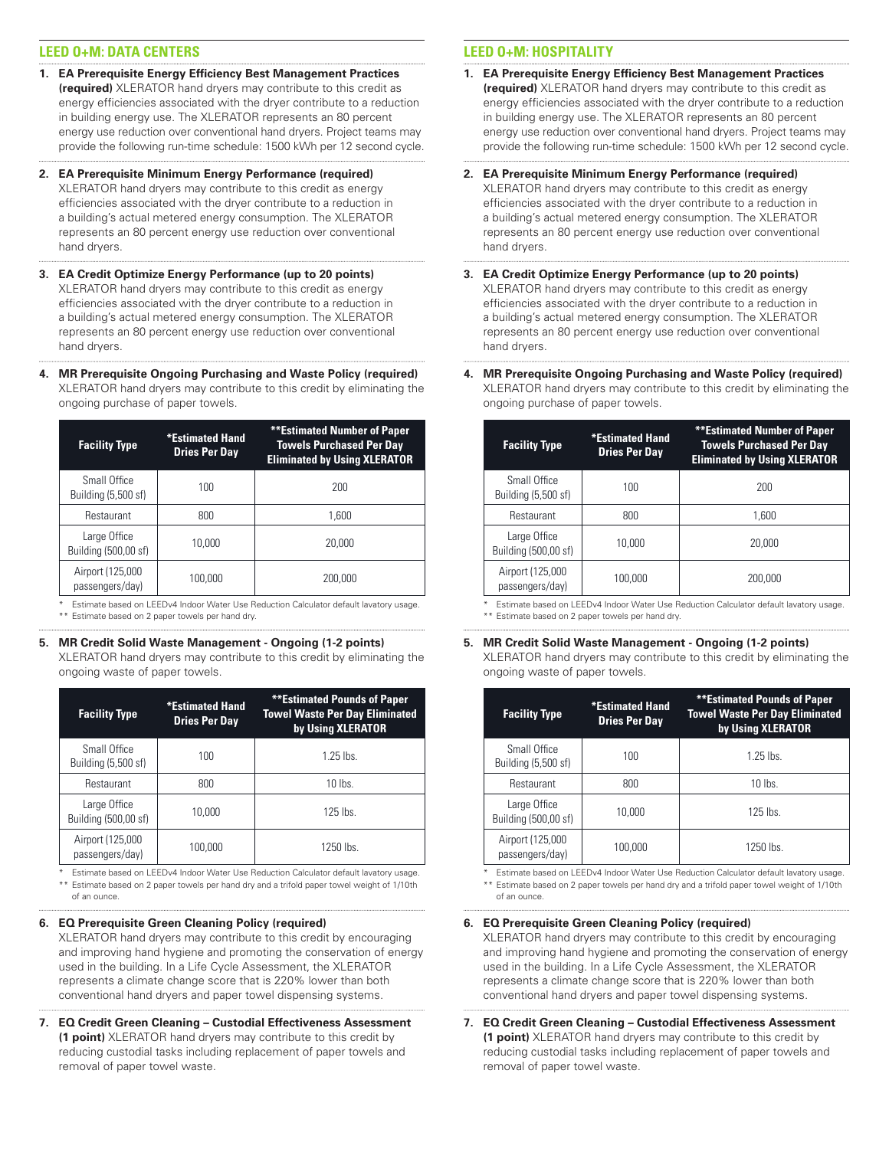# **LEED O+M: DATA CENTERS**

- **1. EA Prerequisite Energy Efficiency Best Management Practices (required)** XLERATOR hand dryers may contribute to this credit as energy efficiencies associated with the dryer contribute to a reduction in building energy use. The XLERATOR represents an 80 percent energy use reduction over conventional hand dryers. Project teams may provide the following run-time schedule: 1500 kWh per 12 second cycle.
- **2. EA Prerequisite Minimum Energy Performance (required)** XLERATOR hand dryers may contribute to this credit as energy efficiencies associated with the dryer contribute to a reduction in a building's actual metered energy consumption. The XLERATOR represents an 80 percent energy use reduction over conventional hand dryers.
- **3. EA Credit Optimize Energy Performance (up to 20 points)** XLERATOR hand dryers may contribute to this credit as energy efficiencies associated with the dryer contribute to a reduction in a building's actual metered energy consumption. The XLERATOR represents an 80 percent energy use reduction over conventional hand dryers.
- **4. MR Prerequisite Ongoing Purchasing and Waste Policy (required)** XLERATOR hand dryers may contribute to this credit by eliminating the ongoing purchase of paper towels.

| <b>Facility Type</b>                 | *Estimated Hand<br><b>Dries Per Day</b> | **Estimated Number of Paper<br><b>Towels Purchased Per Day</b><br><b>Eliminated by Using XLERATOR</b> |
|--------------------------------------|-----------------------------------------|-------------------------------------------------------------------------------------------------------|
| Small Office<br>Building (5,500 sf)  | 100                                     | 200                                                                                                   |
| <b>Restaurant</b>                    | 800                                     | 1.600                                                                                                 |
| Large Office<br>Building (500,00 sf) | 10,000                                  | 20,000                                                                                                |
| Airport (125,000<br>passengers/day)  | 100.000                                 | 200,000                                                                                               |

\* Estimate based on LEEDv4 Indoor Water Use Reduction Calculator default lavatory usage. \*\* Estimate based on 2 paper towels per hand dry.

**5. MR Credit Solid Waste Management - Ongoing (1-2 points)**

XLERATOR hand dryers may contribute to this credit by eliminating the ongoing waste of paper towels.

| <b>Facility Type</b>                 | *Estimated Hand<br><b>Dries Per Day</b> | <b>**Estimated Pounds of Paper</b><br><b>Towel Waste Per Day Eliminated</b><br>by Using XLERATOR |
|--------------------------------------|-----------------------------------------|--------------------------------------------------------------------------------------------------|
| Small Office<br>Building (5,500 sf)  | 100                                     | $1.25$ lbs.                                                                                      |
| Restaurant                           | 800                                     | $10$ lbs.                                                                                        |
| Large Office<br>Building (500,00 sf) | 10,000                                  | $125$ lbs.                                                                                       |
| Airport (125,000<br>passengers/day)  | 100,000                                 | $1250$ lbs.                                                                                      |

Estimate based on LEEDv4 Indoor Water Use Reduction Calculator default lavatory usage Estimate based on 2 paper towels per hand dry and a trifold paper towel weight of 1/10th of an ounce.

#### **6. EQ Prerequisite Green Cleaning Policy (required)**

XLERATOR hand dryers may contribute to this credit by encouraging and improving hand hygiene and promoting the conservation of energy used in the building. In a Life Cycle Assessment, the XLERATOR represents a climate change score that is 220% lower than both conventional hand dryers and paper towel dispensing systems.

**7. EQ Credit Green Cleaning – Custodial Effectiveness Assessment (1 point)** XLERATOR hand dryers may contribute to this credit by reducing custodial tasks including replacement of paper towels and removal of paper towel waste.

### **LEED O+M: HOSPITALITY**

- **1. EA Prerequisite Energy Efficiency Best Management Practices (required)** XLERATOR hand dryers may contribute to this credit as energy efficiencies associated with the dryer contribute to a reduction in building energy use. The XLERATOR represents an 80 percent energy use reduction over conventional hand dryers. Project teams may provide the following run-time schedule: 1500 kWh per 12 second cycle.
- **2. EA Prerequisite Minimum Energy Performance (required)** XLERATOR hand dryers may contribute to this credit as energy efficiencies associated with the dryer contribute to a reduction in a building's actual metered energy consumption. The XLERATOR represents an 80 percent energy use reduction over conventional hand dryers.
- **3. EA Credit Optimize Energy Performance (up to 20 points)** XLERATOR hand dryers may contribute to this credit as energy efficiencies associated with the dryer contribute to a reduction in a building's actual metered energy consumption. The XLERATOR represents an 80 percent energy use reduction over conventional hand dryers.
- **4. MR Prerequisite Ongoing Purchasing and Waste Policy (required)** XLERATOR hand dryers may contribute to this credit by eliminating the ongoing purchase of paper towels.

| <b>Facility Type</b>                 | *Estimated Hand<br><b>Dries Per Day</b> | **Estimated Number of Paper<br><b>Towels Purchased Per Day</b><br><b>Eliminated by Using XLERATOR</b> |
|--------------------------------------|-----------------------------------------|-------------------------------------------------------------------------------------------------------|
| Small Office<br>Building (5,500 sf)  | 100                                     | 200                                                                                                   |
| Restaurant                           | 800                                     | 1.600                                                                                                 |
| Large Office<br>Building (500,00 sf) | 10,000                                  | 20,000                                                                                                |
| Airport (125,000<br>passengers/day)  | 100.000                                 | 200,000                                                                                               |

\* Estimate based on LEEDv4 Indoor Water Use Reduction Calculator default lavatory usage.

\*\* Estimate based on 2 paper towels per hand dry.

#### **5. MR Credit Solid Waste Management - Ongoing (1-2 points)**

XLERATOR hand dryers may contribute to this credit by eliminating the ongoing waste of paper towels.

| <b>Facility Type</b>                 | *Estimated Hand<br><b>Dries Per Day</b> | <b>**Estimated Pounds of Paper</b><br><b>Towel Waste Per Day Eliminated</b><br>by Using XLERATOR |
|--------------------------------------|-----------------------------------------|--------------------------------------------------------------------------------------------------|
| Small Office<br>Building (5,500 sf)  | 100                                     | $1.25$ lbs.                                                                                      |
| Restaurant                           | 800                                     | $10$ lbs.                                                                                        |
| Large Office<br>Building (500,00 sf) | 10,000                                  | $125$ lbs.                                                                                       |
| Airport (125,000<br>passengers/day)  | 100.000                                 | 1250 lbs.                                                                                        |

\* Estimate based on LEEDv4 Indoor Water Use Reduction Calculator default lavatory usage. \*\* Estimate based on 2 paper towels per hand dry and a trifold paper towel weight of 1/10th of an ounce.

#### **6. EQ Prerequisite Green Cleaning Policy (required)**

XLERATOR hand dryers may contribute to this credit by encouraging and improving hand hygiene and promoting the conservation of energy used in the building. In a Life Cycle Assessment, the XLERATOR represents a climate change score that is 220% lower than both conventional hand dryers and paper towel dispensing systems.

**7. EQ Credit Green Cleaning – Custodial Effectiveness Assessment (1 point)** XLERATOR hand dryers may contribute to this credit by reducing custodial tasks including replacement of paper towels and removal of paper towel waste.